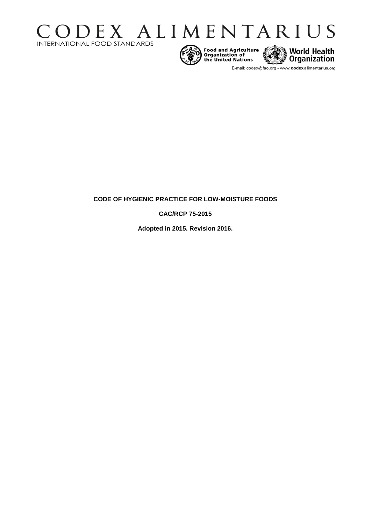





E-mail: codex@fao.org - www.codexalimentarius.org

# **CODE OF HYGIENIC PRACTICE FOR LOW-MOISTURE FOODS**

**CAC/RCP 75-2015**

**Adopted in 2015. Revision 2016.**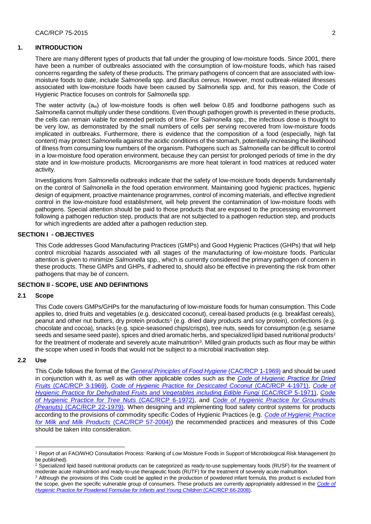# **1. INTRODUCTION**

There are many different types of products that fall under the grouping of low-moisture foods. Since 2001, there have been a number of outbreaks associated with the consumption of low-moisture foods, which has raised concerns regarding the safety of these products. The primary pathogens of concern that are associated with lowmoisture foods to date, include *Salmonella* spp. and *Bacillus cereus.* However, most outbreak-related illnesses associated with low-moisture foods have been caused by *Salmonella* spp. and, for this reason, the Code of Hygienic Practice focuses on controls for *Salmonella* spp.

The water activity (aw) of low-moisture foods is often well below 0.85 and foodborne pathogens such as *Salmonella* cannot multiply under these conditions. Even though pathogen growth is prevented in these products, the cells can remain viable for extended periods of time. For *Salmonella* spp., the infectious dose is thought to be very low, as demonstrated by the small numbers of cells per serving recovered from low-moisture foods implicated in outbreaks. Furthermore, there is evidence that the composition of a food (especially, high fat content) may protect *Salmonella* against the acidic conditions of the stomach, potentially increasing the likelihood of illness from consuming low numbers of the organism. Pathogens such as *Salmonella* can be difficult to control in a low-moisture food operation environment, because they can persist for prolonged periods of time in the dry state and in low-moisture products. Microorganisms are more heat tolerant in food matrices at reduced water activity.

Investigations from *Salmonella* outbreaks indicate that the safety of low-moisture foods depends fundamentally on the control of *Salmonella* in the food operation environment. Maintaining good hygienic practices, hygienic design of equipment, proactive maintenance programmes, control of incoming materials, and effective ingredient control in the low-moisture food establishment, will help prevent the contamination of low-moisture foods with pathogens. Special attention should be paid to those products that are exposed to the processing environment following a pathogen reduction step, products that are not subjected to a pathogen reduction step, and products for which ingredients are added after a pathogen reduction step.

# **SECTION I - OBJECTIVES**

This Code addresses Good Manufacturing Practices (GMPs) and Good Hygienic Practices (GHPs) that will help control microbial hazards associated with all stages of the manufacturing of low-moisture foods. Particular attention is given to minimize *Salmonella* spp., which is currently considered the primary pathogen of concern in these products. These GMPs and GHPs, if adhered to, should also be effective in preventing the risk from other pathogens that may be of concern.

# **SECTION II - SCOPE, USE AND DEFINITIONS**

### **2.1 Scope**

This Code covers GMPs/GHPs for the manufacturing of low-moisture foods for human consumption. This Code applies to, dried fruits and vegetables (e.g. desiccated coconut), cereal-based products (e.g. breakfast cereals), peanut and other nut butters, dry protein products<sup>1</sup> (e.g. dried dairy products and soy protein), confections (e.g. chocolate and cocoa), snacks (e.g. spice-seasoned chips/crisps), tree nuts, seeds for consumption (e.g. sesame seeds and sesame seed paste), spices and dried aromatic herbs, and specialized lipid based nutritional products<sup>2</sup> for the treatment of moderate and severely acute malnutrition<sup>3</sup>. Milled grain products such as flour may be within the scope when used in foods that would not be subject to a microbial inactivation step.

### **2.2 Use**

1

This Code follows the format of the *[General Principles of Food Hygiene](http://www.fao.org/fao-who-codexalimentarius/sh-proxy/en/?lnk=1&url=https%253A%252F%252Fworkspace.fao.org%252Fsites%252Fcodex%252FStandards%252FCAC%2BRCP%2B1-1969%252FCXP_001e.pdf)* (CAC/RCP 1-1969) and should be used in conjunction with it, as well as with other applicable codes such as the *[Code of Hygienic Practice for Dried](http://www.fao.org/fao-who-codexalimentarius/sh-proxy/en/?lnk=1&url=https%253A%252F%252Fworkspace.fao.org%252Fsites%252Fcodex%252FStandards%252FCAC%2BRCP%2B3-1969%252FCXP_003e.pdf)  Fruits* [\(CAC/RCP 3-1969\),](http://www.fao.org/fao-who-codexalimentarius/sh-proxy/en/?lnk=1&url=https%253A%252F%252Fworkspace.fao.org%252Fsites%252Fcodex%252FStandards%252FCAC%2BRCP%2B3-1969%252FCXP_003e.pdf) *[Code of Hygienic Practice for Desiccated Coconut](http://www.fao.org/fao-who-codexalimentarius/sh-proxy/en/?lnk=1&url=https%253A%252F%252Fworkspace.fao.org%252Fsites%252Fcodex%252FStandards%252FCAC%2BRCP%2B4-1971%252FCXP_004e.pdf)* (CAC/RCP 4-1971), *[Code of](http://www.fao.org/fao-who-codexalimentarius/sh-proxy/en/?lnk=1&url=https%253A%252F%252Fworkspace.fao.org%252Fsites%252Fcodex%252FStandards%252FCAC%2BRCP%2B5-1971%252FCXP_005e.pdf)  [Hygienic Practice for Dehydrated Fruits and Vegetables including Edible Fungi](http://www.fao.org/fao-who-codexalimentarius/sh-proxy/en/?lnk=1&url=https%253A%252F%252Fworkspace.fao.org%252Fsites%252Fcodex%252FStandards%252FCAC%2BRCP%2B5-1971%252FCXP_005e.pdf)* (CAC/RCP 5-1971), *[Code](http://www.fao.org/fao-who-codexalimentarius/sh-proxy/en/?lnk=1&url=https%253A%252F%252Fworkspace.fao.org%252Fsites%252Fcodex%252FStandards%252FCAC%2BRCP%2B6-1972%252FCXP_006e.pdf)  [of Hygienic Practice for Tree Nuts](http://www.fao.org/fao-who-codexalimentarius/sh-proxy/en/?lnk=1&url=https%253A%252F%252Fworkspace.fao.org%252Fsites%252Fcodex%252FStandards%252FCAC%2BRCP%2B6-1972%252FCXP_006e.pdf)* (CAC/RCP 6-1972), and *[Code of Hygienic Practice for Groundnuts](http://www.fao.org/fao-who-codexalimentarius/sh-proxy/en/?lnk=1&url=https%253A%252F%252Fworkspace.fao.org%252Fsites%252Fcodex%252FStandards%252FCAC%2BRCP%2B22-1979%252FCXP_022e.pdf)  (Peanuts)* [\(CAC/RCP 22-1979\).](http://www.fao.org/fao-who-codexalimentarius/sh-proxy/en/?lnk=1&url=https%253A%252F%252Fworkspace.fao.org%252Fsites%252Fcodex%252FStandards%252FCAC%2BRCP%2B22-1979%252FCXP_022e.pdf) When designing and implementing food safety control systems for products according to the provisions of commodity specific Codes of Hygienic Practices (e.g. *[Code of Hygienic Practice](http://www.fao.org/fao-who-codexalimentarius/sh-proxy/en/?lnk=1&url=https%253A%252F%252Fworkspace.fao.org%252Fsites%252Fcodex%252FStandards%252FCAC%2BRCP%2B57-2004%252FCXP_057e.pdf)  [for Milk and Milk Products](http://www.fao.org/fao-who-codexalimentarius/sh-proxy/en/?lnk=1&url=https%253A%252F%252Fworkspace.fao.org%252Fsites%252Fcodex%252FStandards%252FCAC%2BRCP%2B57-2004%252FCXP_057e.pdf)* (CAC/RCP 57-2004)) the recommended practices and measures of this Code should be taken into consideration.

<sup>1</sup> Report of an FAO/WHO Consultation Process: Ranking of Low Moisture Foods in Support of Microbiological Risk Management (to be published).

<sup>&</sup>lt;sup>2</sup> Specialized lipid based nutritional products can be categorized as ready-to-use supplementary foods (RUSF) for the treatment of moderate acute malnutrition and ready-to-use therapeutic foods (RUTF) for the treatment of severely acute malnutrition.

<sup>&</sup>lt;sup>3</sup> Although the provisions of this Code could be applied in the production of powdered infant formula, this product is excluded from the scope, given the specific vulnerable group of consumers. These products are currently appropriately addressed in the *[Code of](http://www.fao.org/fao-who-codexalimentarius/sh-proxy/en/?lnk=1&url=https%253A%252F%252Fworkspace.fao.org%252Fsites%252Fcodex%252FStandards%252FCAC%2BRCP%2B66-2008%252FCXP_066e.pdf)  [Hygienic Practice for Powdered Formulae for Infants and Young](http://www.fao.org/fao-who-codexalimentarius/sh-proxy/en/?lnk=1&url=https%253A%252F%252Fworkspace.fao.org%252Fsites%252Fcodex%252FStandards%252FCAC%2BRCP%2B66-2008%252FCXP_066e.pdf) Children* (CAC/RCP 66-2008).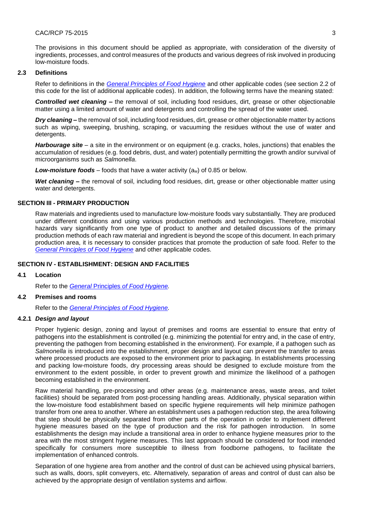The provisions in this document should be applied as appropriate, with consideration of the diversity of ingredients, processes, and control measures of the products and various degrees of risk involved in producing low-moisture foods.

## **2.3 Definitions**

Refer to definitions in the *[General Principles of Food Hygiene](http://www.fao.org/fao-who-codexalimentarius/sh-proxy/en/?lnk=1&url=https%253A%252F%252Fworkspace.fao.org%252Fsites%252Fcodex%252FStandards%252FCAC%2BRCP%2B1-1969%252FCXP_001e.pdf)* and other applicable codes (see section 2.2 of this code for the list of additional applicable codes). In addition, the following terms have the meaning stated:

*Controlled wet cleaning –* the removal of soil, including food residues, dirt, grease or other objectionable matter using a limited amount of water and detergents and controlling the spread of the water used.

*Dry cleaning –* the removal of soil, including food residues, dirt, grease or other objectionable matter by actions such as wiping, sweeping, brushing, scraping, or vacuuming the residues without the use of water and detergents.

*Harbourage site* – a site in the environment or on equipment (e.g. cracks, holes, junctions) that enables the accumulation of residues (e.g. food debris, dust, and water) potentially permitting the growth and/or survival of microorganisms such as *Salmonella*.

*Low-moisture foods* – foods that have a water activity (aw) of 0.85 or below.

*Wet cleaning –* the removal of soil, including food residues, dirt, grease or other objectionable matter using water and detergents.

## **SECTION III - PRIMARY PRODUCTION**

Raw materials and ingredients used to manufacture low-moisture foods vary substantially. They are produced under different conditions and using various production methods and technologies. Therefore, microbial hazards vary significantly from one type of product to another and detailed discussions of the primary production methods of each raw material and ingredient is beyond the scope of this document. In each primary production area, it is necessary to consider practices that promote the production of safe food. Refer to the *[General Principles of Food Hygiene](http://www.fao.org/fao-who-codexalimentarius/sh-proxy/en/?lnk=1&url=https%253A%252F%252Fworkspace.fao.org%252Fsites%252Fcodex%252FStandards%252FCAC%2BRCP%2B1-1969%252FCXP_001e.pdf)* and other applicable codes.

# **SECTION IV - ESTABLISHMENT: DESIGN AND FACILITIES**

### **4.1 Location**

Refer to the *General* Principles *[of Food Hygiene.](http://www.fao.org/fao-who-codexalimentarius/sh-proxy/en/?lnk=1&url=https%253A%252F%252Fworkspace.fao.org%252Fsites%252Fcodex%252FStandards%252FCAC%2BRCP%2B1-1969%252FCXP_001e.pdf)*

### **4.2 Premises and rooms**

Refer to the *[General Principles of Food Hygiene.](http://www.fao.org/fao-who-codexalimentarius/sh-proxy/en/?lnk=1&url=https%253A%252F%252Fworkspace.fao.org%252Fsites%252Fcodex%252FStandards%252FCAC%2BRCP%2B1-1969%252FCXP_001e.pdf)*

## **4.2.1** *Design and layout*

Proper hygienic design, zoning and layout of premises and rooms are essential to ensure that entry of pathogens into the establishment is controlled (e.g. minimizing the potential for entry and, in the case of entry, preventing the pathogen from becoming established in the environment). For example, if a pathogen such as *Salmonella* is introduced into the establishment, proper design and layout can prevent the transfer to areas where processed products are exposed to the environment prior to packaging. In establishments processing and packing low-moisture foods, dry processing areas should be designed to exclude moisture from the environment to the extent possible, in order to prevent growth and minimize the likelihood of a pathogen becoming established in the environment.

Raw material handling, pre-processing and other areas (e.g. maintenance areas, waste areas, and toilet facilities) should be separated from post-processing handling areas. Additionally, physical separation within the low-moisture food establishment based on specific hygiene requirements will help minimize pathogen transfer from one area to another. Where an establishment uses a pathogen reduction step, the area following that step should be physically separated from other parts of the operation in order to implement different hygiene measures based on the type of production and the risk for pathogen introduction. In some establishments the design may include a transitional area in order to enhance hygiene measures prior to the area with the most stringent hygiene measures. This last approach should be considered for food intended specifically for consumers more susceptible to illness from foodborne pathogens, to facilitate the implementation of enhanced controls.

Separation of one hygiene area from another and the control of dust can be achieved using physical barriers, such as walls, doors, split conveyers, etc. Alternatively, separation of areas and control of dust can also be achieved by the appropriate design of ventilation systems and airflow.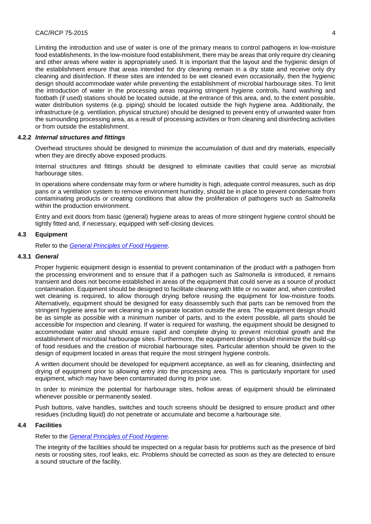Limiting the introduction and use of water is one of the primary means to control pathogens in low-moisture food establishments. In the low-moisture food establishment, there may be areas that only require dry cleaning and other areas where water is appropriately used. It is important that the layout and the hygienic design of the establishment ensure that areas intended for dry cleaning remain in a dry state and receive only dry cleaning and disinfection. If these sites are intended to be wet cleaned even occasionally, then the hygienic design should accommodate water while preventing the establishment of microbial harbourage sites. To limit the introduction of water in the processing areas requiring stringent hygiene controls, hand washing and footbath (if used) stations should be located outside, at the entrance of this area, and, to the extent possible, water distribution systems (e.g. piping) should be located outside the high hygiene area. Additionally, the infrastructure (e.g. ventilation, physical structure) should be designed to prevent entry of unwanted water from the surrounding processing area, as a result of processing activities or from cleaning and disinfecting activities or from outside the establishment.

## **4.2.2** *Internal structures and fittings*

Overhead structures should be designed to minimize the accumulation of dust and dry materials, especially when they are directly above exposed products.

Internal structures and fittings should be designed to eliminate cavities that could serve as microbial harbourage sites.

In operations where condensate may form or where humidity is high, adequate control measures, such as drip pans or a ventilation system to remove environment humidity, should be in place to prevent condensate from contaminating products or creating conditions that allow the proliferation of pathogens such as *Salmonella* within the production environment.

Entry and exit doors from basic (general) hygiene areas to areas of more stringent hygiene control should be tightly fitted and, if necessary, equipped with self-closing devices.

# **4.3 Equipment**

Refer to the *[General Principles of Food Hygiene.](http://www.fao.org/fao-who-codexalimentarius/sh-proxy/en/?lnk=1&url=https%253A%252F%252Fworkspace.fao.org%252Fsites%252Fcodex%252FStandards%252FCAC%2BRCP%2B1-1969%252FCXP_001e.pdf)*

### **4.3.1** *General*

Proper hygienic equipment design is essential to prevent contamination of the product with a pathogen from the processing environment and to ensure that if a pathogen such as *Salmonella* is introduced, it remains transient and does not become established in areas of the equipment that could serve as a source of product contamination. Equipment should be designed to facilitate cleaning with little or no water and, when controlled wet cleaning is required, to allow thorough drying before reusing the equipment for low-moisture foods. Alternatively, equipment should be designed for easy disassembly such that parts can be removed from the stringent hygiene area for wet cleaning in a separate location outside the area. The equipment design should be as simple as possible with a minimum number of parts, and to the extent possible, all parts should be accessible for inspection and cleaning. If water is required for washing, the equipment should be designed to accommodate water and should ensure rapid and complete drying to prevent microbial growth and the establishment of microbial harbourage sites. Furthermore, the equipment design should minimize the build-up of food residues and the creation of microbial harbourage sites. Particular attention should be given to the design of equipment located in areas that require the most stringent hygiene controls.

A written document should be developed for equipment acceptance, as well as for cleaning, disinfecting and drying of equipment prior to allowing entry into the processing area. This is particularly important for used equipment, which may have been contaminated during its prior use.

In order to minimize the potential for harbourage sites, hollow areas of equipment should be eliminated whenever possible or permanently sealed.

Push buttons, valve handles, switches and touch screens should be designed to ensure product and other residues (including liquid) do not penetrate or accumulate and become a harbourage site.

# **4.4 Facilities**

Refer to the *[General Principles of Food Hygiene.](http://www.fao.org/fao-who-codexalimentarius/sh-proxy/en/?lnk=1&url=https%253A%252F%252Fworkspace.fao.org%252Fsites%252Fcodex%252FStandards%252FCAC%2BRCP%2B1-1969%252FCXP_001e.pdf)*

The integrity of the facilities should be inspected on a regular basis for problems such as the presence of bird nests or roosting sites, roof leaks, etc. Problems should be corrected as soon as they are detected to ensure a sound structure of the facility.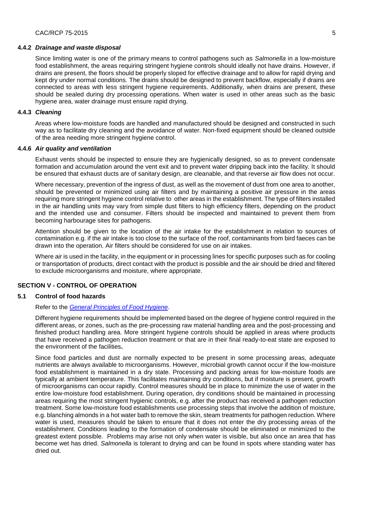### **4.4.2** *Drainage and waste disposal*

Since limiting water is one of the primary means to control pathogens such as *Salmonella* in a low-moisture food establishment, the areas requiring stringent hygiene controls should ideally not have drains. However, if drains are present, the floors should be properly sloped for effective drainage and to allow for rapid drying and kept dry under normal conditions. The drains should be designed to prevent backflow, especially if drains are connected to areas with less stringent hygiene requirements. Additionally, when drains are present, these should be sealed during dry processing operations. When water is used in other areas such as the basic hygiene area, water drainage must ensure rapid drying.

### **4.4.3** *Cleaning*

Areas where low-moisture foods are handled and manufactured should be designed and constructed in such way as to facilitate dry cleaning and the avoidance of water. Non-fixed equipment should be cleaned outside of the area needing more stringent hygiene control.

### **4.4.6** *Air quality and ventilation*

Exhaust vents should be inspected to ensure they are hygienically designed, so as to prevent condensate formation and accumulation around the vent exit and to prevent water dripping back into the facility. It should be ensured that exhaust ducts are of sanitary design, are cleanable, and that reverse air flow does not occur.

Where necessary, prevention of the ingress of dust, as well as the movement of dust from one area to another, should be prevented or minimized using air filters and by maintaining a positive air pressure in the areas requiring more stringent hygiene control relative to other areas in the establishment. The type of filters installed in the air handling units may vary from simple dust filters to high efficiency filters, depending on the product and the intended use and consumer. Filters should be inspected and maintained to prevent them from becoming harbourage sites for pathogens.

Attention should be given to the location of the air intake for the establishment in relation to sources of contamination e.g. if the air intake is too close to the surface of the roof, contaminants from bird faeces can be drawn into the operation. Air filters should be considered for use on air intakes.

Where air is used in the facility, in the equipment or in processing lines for specific purposes such as for cooling or transportation of products, direct contact with the product is possible and the air should be dried and filtered to exclude microorganisms and moisture, where appropriate.

## **SECTION V - CONTROL OF OPERATION**

### **5.1 Control of food hazards**

# Refer to the *[General Principles of Food Hygiene](http://www.fao.org/fao-who-codexalimentarius/sh-proxy/en/?lnk=1&url=https%253A%252F%252Fworkspace.fao.org%252Fsites%252Fcodex%252FStandards%252FCAC%2BRCP%2B1-1969%252FCXP_001e.pdf)*.

Different hygiene requirements should be implemented based on the degree of hygiene control required in the different areas, or zones, such as the pre-processing raw material handling area and the post-processing and finished product handling area. More stringent hygiene controls should be applied in areas where products that have received a pathogen reduction treatment or that are in their final ready-to-eat state are exposed to the environment of the facilities**.**

Since food particles and dust are normally expected to be present in some processing areas, adequate nutrients are always available to microorganisms. However, microbial growth cannot occur if the low-moisture food establishment is maintained in a dry state. Processing and packing areas for low-moisture foods are typically at ambient temperature. This facilitates maintaining dry conditions, but if moisture is present, growth of microorganisms can occur rapidly. Control measures should be in place to minimize the use of water in the entire low-moisture food establishment. During operation, dry conditions should be maintained in processing areas requiring the most stringent hygienic controls, e.g. after the product has received a pathogen reduction treatment. Some low-moisture food establishments use processing steps that involve the addition of moisture, e.g. blanching almonds in a hot water bath to remove the skin, steam treatments for pathogen reduction. Where water is used, measures should be taken to ensure that it does not enter the dry processing areas of the establishment. Conditions leading to the formation of condensate should be eliminated or minimized to the greatest extent possible. Problems may arise not only when water is visible, but also once an area that has become wet has dried. *Salmonella* is tolerant to drying and can be found in spots where standing water has dried out.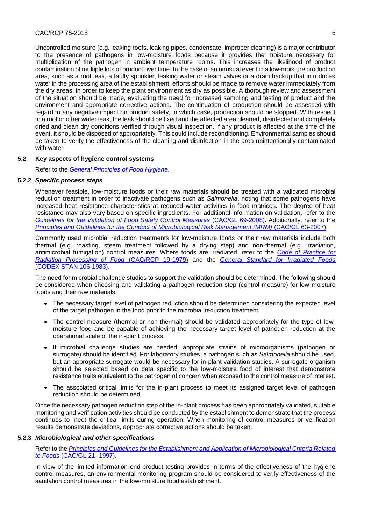Uncontrolled moisture (e.g. leaking roofs, leaking pipes, condensate, improper cleaning) is a major contributor to the presence of pathogens in low-moisture foods because it provides the moisture necessary for multiplication of the pathogen in ambient temperature rooms. This increases the likelihood of product contamination of multiple lots of product over time. In the case of an unusual event in a low-moisture production area, such as a roof leak, a faulty sprinkler, leaking water or steam valves or a drain backup that introduces water in the processing area of the establishment, efforts should be made to remove water immediately from the dry areas, in order to keep the plant environment as dry as possible. A thorough review and assessment of the situation should be made, evaluating the need for increased sampling and testing of product and the environment and appropriate corrective actions. The continuation of production should be assessed with regard to any negative impact on product safety, in which case, production should be stopped. With respect to a roof or other water leak, the leak should be fixed and the affected area cleaned, disinfected and completely dried and clean dry conditions verified through visual inspection. If any product is affected at the time of the event, it should be disposed of appropriately. This could include reconditioning. Environmental samples should be taken to verify the effectiveness of the cleaning and disinfection in the area unintentionally contaminated with water.

### **5.2 Key aspects of hygiene control systems**

Refer to the *[General Principles of Food Hygiene](http://www.fao.org/fao-who-codexalimentarius/sh-proxy/en/?lnk=1&url=https%253A%252F%252Fworkspace.fao.org%252Fsites%252Fcodex%252FStandards%252FCAC%2BRCP%2B1-1969%252FCXP_001e.pdf)*.

# **5.2.2** *Specific process steps*

Whenever feasible, low-moisture foods or their raw materials should be treated with a validated microbial reduction treatment in order to inactivate pathogens such as *Salmonella*, noting that some pathogens have increased heat resistance characteristics at reduced water activities in food matrices. The degree of heat resistance may also vary based on specific ingredients. For additional information on validation, refer to the [Guidelines for the Validation of Food Safety Control Measures](http://www.fao.org/fao-who-codexalimentarius/sh-proxy/en/?lnk=1&url=https%253A%252F%252Fworkspace.fao.org%252Fsites%252Fcodex%252FStandards%252FCAC%2BGL%2B69-2008%252FCXG_069e.pdf) (CAC/GL 69-2008). Additionally, refer to the *Principles and Guidelines for the Conduct of Microbiological Risk Management (MRM)* (CAC/GL 63-2007).

Commonly used microbial reduction treatments for low-moisture foods or their raw materials include both thermal (e.g. roasting, steam treatment followed by a drying step) and non-thermal (e.g. irradiation, antimicrobial fumigation) control measures. Where foods are irradiated, refer to the *[Code of Practice for](http://www.fao.org/fao-who-codexalimentarius/sh-proxy/en/?lnk=1&url=https%253A%252F%252Fworkspace.fao.org%252Fsites%252Fcodex%252FStandards%252FCAC%2BRCP%2B19-1979%252FCXP_019e.pdf)  [Radiation Processing of Food](http://www.fao.org/fao-who-codexalimentarius/sh-proxy/en/?lnk=1&url=https%253A%252F%252Fworkspace.fao.org%252Fsites%252Fcodex%252FStandards%252FCAC%2BRCP%2B19-1979%252FCXP_019e.pdf)* (CAC/RCP 19-1979) and the *[General Standard for Irradiated Foods](http://www.fao.org/fao-who-codexalimentarius/sh-proxy/en/?lnk=1&url=https%253A%252F%252Fworkspace.fao.org%252Fsites%252Fcodex%252FStandards%252FCODEX%2BSTAN%2B106-1983%252FCXS_106e.pdf)* (CODEX [STAN 106-1983\).](http://www.fao.org/fao-who-codexalimentarius/sh-proxy/en/?lnk=1&url=https%253A%252F%252Fworkspace.fao.org%252Fsites%252Fcodex%252FStandards%252FCODEX%2BSTAN%2B106-1983%252FCXS_106e.pdf)

The need for microbial challenge studies to support the validation should be determined. The following should be considered when choosing and validating a pathogen reduction step (control measure) for low-moisture foods and their raw materials:

- The necessary target level of pathogen reduction should be determined considering the expected level of the target pathogen in the food prior to the microbial reduction treatment.
- The control measure (thermal or non-thermal) should be validated appropriately for the type of lowmoisture food and be capable of achieving the necessary target level of pathogen reduction at the operational scale of the in-plant process.
- If microbial challenge studies are needed, appropriate strains of microorganisms (pathogen or surrogate) should be identified. For laboratory studies, a pathogen such as *Salmonella* should be used, but an appropriate surrogate would be necessary for in-plant validation studies. A surrogate organism should be selected based on data specific to the low-moisture food of interest that demonstrate resistance traits equivalent to the pathogen of concern when exposed to the control measure of interest.
- The associated critical limits for the in-plant process to meet its assigned target level of pathogen reduction should be determined.

Once the necessary pathogen reduction step of the in-plant process has been appropriately validated, suitable monitoring and verification activities should be conducted by the establishment to demonstrate that the process continues to meet the critical limits during operation. When monitoring of control measures or verification results demonstrate deviations, appropriate corrective actions should be taken.

### **5.2.3** *Microbiological and other specifications*

Refer to the *[Principles and Guidelines for the Establishment and Application of Microbiological Criteria Related](http://www.fao.org/fao-who-codexalimentarius/sh-proxy/en/?lnk=1&url=https%253A%252F%252Fworkspace.fao.org%252Fsites%252Fcodex%252FStandards%252FCAC%2BGL%2B21-1997%252FCXG_021e.pdf)  to Foods* [\(CAC/GL 21-](http://www.fao.org/fao-who-codexalimentarius/sh-proxy/en/?lnk=1&url=https%253A%252F%252Fworkspace.fao.org%252Fsites%252Fcodex%252FStandards%252FCAC%2BGL%2B21-1997%252FCXG_021e.pdf) 1997).

In view of the limited information end-product testing provides in terms of the effectiveness of the hygiene control measures, an environmental monitoring program should be considered to verify effectiveness of the sanitation control measures in the low-moisture food establishment.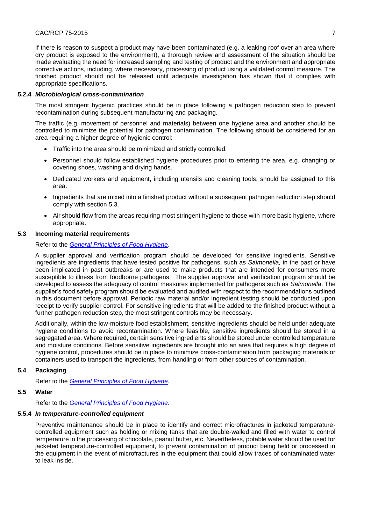If there is reason to suspect a product may have been contaminated (e.g. a leaking roof over an area where dry product is exposed to the environment), a thorough review and assessment of the situation should be made evaluating the need for increased sampling and testing of product and the environment and appropriate corrective actions, including, where necessary, processing of product using a validated control measure. The finished product should not be released until adequate investigation has shown that it complies with appropriate specifications.

## **5.2.4** *Microbiological cross-contamination*

The most stringent hygienic practices should be in place following a pathogen reduction step to prevent recontamination during subsequent manufacturing and packaging.

The traffic (e.g. movement of personnel and materials) between one hygiene area and another should be controlled to minimize the potential for pathogen contamination. The following should be considered for an area requiring a higher degree of hygienic control:

- Traffic into the area should be minimized and strictly controlled.
- Personnel should follow established hygiene procedures prior to entering the area, e.g. changing or covering shoes, washing and drying hands.
- Dedicated workers and equipment, including utensils and cleaning tools, should be assigned to this area.
- Ingredients that are mixed into a finished product without a subsequent pathogen reduction step should comply with section 5.3.
- Air should flow from the areas requiring most stringent hygiene to those with more basic hygiene, where appropriate.

# **5.3 Incoming material requirements**

# Refer to the *[General Principles of Food Hygiene](http://www.fao.org/fao-who-codexalimentarius/sh-proxy/en/?lnk=1&url=https%253A%252F%252Fworkspace.fao.org%252Fsites%252Fcodex%252FStandards%252FCAC%2BRCP%2B1-1969%252FCXP_001e.pdf)*.

A supplier approval and verification program should be developed for sensitive ingredients. Sensitive ingredients are ingredients that have tested positive for pathogens, such as *Salmonella,* in the past or have been implicated in past outbreaks or are used to make products that are intended for consumers more susceptible to illness from foodborne pathogens. The supplier approval and verification program should be developed to assess the adequacy of control measures implemented for pathogens such as *Salmonella*. The supplier's food safety program should be evaluated and audited with respect to the recommendations outlined in this document before approval. Periodic raw material and/or ingredient testing should be conducted upon receipt to verify supplier control. For sensitive ingredients that will be added to the finished product without a further pathogen reduction step, the most stringent controls may be necessary.

Additionally, within the low-moisture food establishment, sensitive ingredients should be held under adequate hygiene conditions to avoid recontamination. Where feasible, sensitive ingredients should be stored in a segregated area. Where required, certain sensitive ingredients should be stored under controlled temperature and moisture conditions. Before sensitive ingredients are brought into an area that requires a high degree of hygiene control, procedures should be in place to minimize cross-contamination from packaging materials or containers used to transport the ingredients, from handling or from other sources of contamination.

# **5.4 Packaging**

Refer to the *[General Principles of Food Hygiene](http://www.fao.org/fao-who-codexalimentarius/sh-proxy/en/?lnk=1&url=https%253A%252F%252Fworkspace.fao.org%252Fsites%252Fcodex%252FStandards%252FCAC%2BRCP%2B1-1969%252FCXP_001e.pdf)*.

# **5.5 Water**

Refer to the *[General Principles of Food Hygiene](http://www.fao.org/fao-who-codexalimentarius/sh-proxy/en/?lnk=1&url=https%253A%252F%252Fworkspace.fao.org%252Fsites%252Fcodex%252FStandards%252FCAC%2BRCP%2B1-1969%252FCXP_001e.pdf)*.

## **5.5.4** *In temperature-controlled equipment*

Preventive maintenance should be in place to identify and correct microfractures in jacketed temperaturecontrolled equipment such as holding or mixing tanks that are double-walled and filled with water to control temperature in the processing of chocolate, peanut butter, etc. Nevertheless, potable water should be used for jacketed temperature-controlled equipment, to prevent contamination of product being held or processed in the equipment in the event of microfractures in the equipment that could allow traces of contaminated water to leak inside.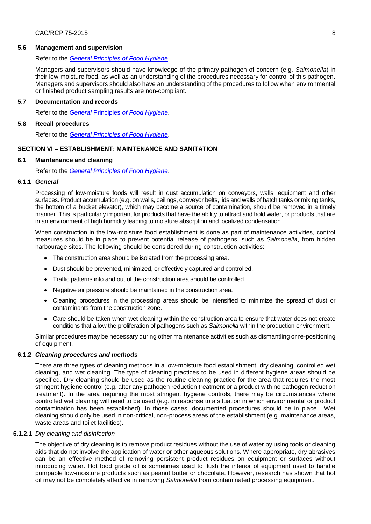### **5.6 Management and supervision**

## Refer to the *[General Principles of Food Hygiene](http://www.fao.org/fao-who-codexalimentarius/sh-proxy/en/?lnk=1&url=https%253A%252F%252Fworkspace.fao.org%252Fsites%252Fcodex%252FStandards%252FCAC%2BRCP%2B1-1969%252FCXP_001e.pdf)*.

Managers and supervisors should have knowledge of the primary pathogen of concern (e.g. *Salmonella*) in their low-moisture food, as well as an understanding of the procedures necessary for control of this pathogen. Managers and supervisors should also have an understanding of the procedures to follow when environmental or finished product sampling results are non-compliant.

# **5.7 Documentation and records**

Refer to the *General* Principles *[of Food Hygiene](http://www.fao.org/fao-who-codexalimentarius/sh-proxy/en/?lnk=1&url=https%253A%252F%252Fworkspace.fao.org%252Fsites%252Fcodex%252FStandards%252FCAC%2BRCP%2B1-1969%252FCXP_001e.pdf)*.

### **5.8 Recall procedures**

Refer to the *[General Principles of Food Hygiene](http://www.fao.org/fao-who-codexalimentarius/sh-proxy/en/?lnk=1&url=https%253A%252F%252Fworkspace.fao.org%252Fsites%252Fcodex%252FStandards%252FCAC%2BRCP%2B1-1969%252FCXP_001e.pdf)*.

# **SECTION VI – ESTABLISHMENT: MAINTENANCE AND SANITATION**

### **6.1 Maintenance and cleaning**

Refer to the *[General Principles of Food Hygiene](http://www.fao.org/fao-who-codexalimentarius/sh-proxy/en/?lnk=1&url=https%253A%252F%252Fworkspace.fao.org%252Fsites%252Fcodex%252FStandards%252FCAC%2BRCP%2B1-1969%252FCXP_001e.pdf)*.

## **6.1.1** *General*

Processing of low-moisture foods will result in dust accumulation on conveyors, walls, equipment and other surfaces. Product accumulation (e.g. on walls, ceilings, conveyor belts, lids and walls of batch tanks or mixing tanks, the bottom of a bucket elevator), which may become a source of contamination, should be removed in a timely manner. This is particularly important for products that have the ability to attract and hold water, or products that are in an environment of high humidity leading to moisture absorption and localized condensation.

When construction in the low-moisture food establishment is done as part of maintenance activities, control measures should be in place to prevent potential release of pathogens, such as *Salmonella*, from hidden harbourage sites. The following should be considered during construction activities:

- The construction area should be isolated from the processing area.
- Dust should be prevented, minimized, or effectively captured and controlled.
- Traffic patterns into and out of the construction area should be controlled.
- Negative air pressure should be maintained in the construction area.
- Cleaning procedures in the processing areas should be intensified to minimize the spread of dust or contaminants from the construction zone.
- Care should be taken when wet cleaning within the construction area to ensure that water does not create conditions that allow the proliferation of pathogens such as *Salmonella* within the production environment.

Similar procedures may be necessary during other maintenance activities such as dismantling or re-positioning of equipment.

### **6.1.2** *Cleaning procedures and methods*

There are three types of cleaning methods in a low-moisture food establishment: dry cleaning, controlled wet cleaning, and wet cleaning. The type of cleaning practices to be used in different hygiene areas should be specified. Dry cleaning should be used as the routine cleaning practice for the area that requires the most stringent hygiene control (e.g. after any pathogen reduction treatment or a product with no pathogen reduction treatment). In the area requiring the most stringent hygiene controls, there may be circumstances where controlled wet cleaning will need to be used (e.g. in response to a situation in which environmental or product contamination has been established). In those cases, documented procedures should be in place. Wet cleaning should only be used in non-critical, non-process areas of the establishment (e.g. maintenance areas, waste areas and toilet facilities).

### **6.1.2.1** *Dry cleaning and disinfection*

The objective of dry cleaning is to remove product residues without the use of water by using tools or cleaning aids that do not involve the application of water or other aqueous solutions. Where appropriate, dry abrasives can be an effective method of removing persistent product residues on equipment or surfaces without introducing water. Hot food grade oil is sometimes used to flush the interior of equipment used to handle pumpable low-moisture products such as peanut butter or chocolate. However, research has shown that hot oil may not be completely effective in removing *Salmonella* from contaminated processing equipment.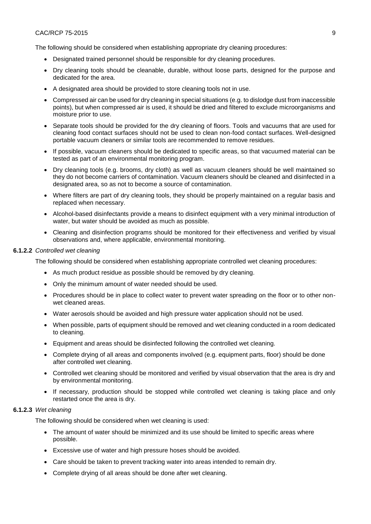The following should be considered when establishing appropriate dry cleaning procedures:

- Designated trained personnel should be responsible for dry cleaning procedures.
- Dry cleaning tools should be cleanable, durable, without loose parts, designed for the purpose and dedicated for the area.
- A designated area should be provided to store cleaning tools not in use.
- Compressed air can be used for dry cleaning in special situations (e.g. to dislodge dust from inaccessible points), but when compressed air is used, it should be dried and filtered to exclude microorganisms and moisture prior to use.
- Separate tools should be provided for the dry cleaning of floors. Tools and vacuums that are used for cleaning food contact surfaces should not be used to clean non-food contact surfaces. Well-designed portable vacuum cleaners or similar tools are recommended to remove residues.
- If possible, vacuum cleaners should be dedicated to specific areas, so that vacuumed material can be tested as part of an environmental monitoring program.
- Dry cleaning tools (e.g. brooms, dry cloth) as well as vacuum cleaners should be well maintained so they do not become carriers of contamination. Vacuum cleaners should be cleaned and disinfected in a designated area, so as not to become a source of contamination.
- Where filters are part of dry cleaning tools, they should be properly maintained on a regular basis and replaced when necessary.
- Alcohol-based disinfectants provide a means to disinfect equipment with a very minimal introduction of water, but water should be avoided as much as possible.
- Cleaning and disinfection programs should be monitored for their effectiveness and verified by visual observations and, where applicable, environmental monitoring.

# **6.1.2.2** *Controlled wet cleaning*

The following should be considered when establishing appropriate controlled wet cleaning procedures:

- As much product residue as possible should be removed by dry cleaning.
- Only the minimum amount of water needed should be used.
- Procedures should be in place to collect water to prevent water spreading on the floor or to other nonwet cleaned areas.
- Water aerosols should be avoided and high pressure water application should not be used.
- When possible, parts of equipment should be removed and wet cleaning conducted in a room dedicated to cleaning.
- Equipment and areas should be disinfected following the controlled wet cleaning.
- Complete drying of all areas and components involved (e.g. equipment parts, floor) should be done after controlled wet cleaning.
- Controlled wet cleaning should be monitored and verified by visual observation that the area is dry and by environmental monitoring.
- If necessary, production should be stopped while controlled wet cleaning is taking place and only restarted once the area is dry.

## **6.1.2.3** *Wet cleaning*

The following should be considered when wet cleaning is used:

- The amount of water should be minimized and its use should be limited to specific areas where possible.
- Excessive use of water and high pressure hoses should be avoided.
- Care should be taken to prevent tracking water into areas intended to remain dry.
- Complete drying of all areas should be done after wet cleaning.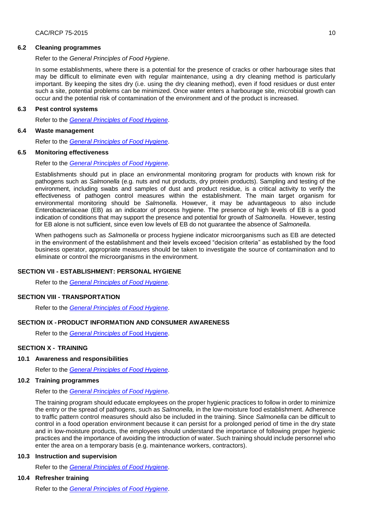## **6.2 Cleaning programmes**

## Refer to the *General Principles of Food Hygiene*.

In some establishments, where there is a potential for the presence of cracks or other harbourage sites that may be difficult to eliminate even with regular maintenance, using a dry cleaning method is particularly important. By keeping the sites dry (i.e. using the dry cleaning method), even if food residues or dust enter such a site, potential problems can be minimized. Once water enters a harbourage site, microbial growth can occur and the potential risk of contamination of the environment and of the product is increased.

# **6.3 Pest control systems**

Refer to the *[General Principles of Food Hygiene](http://www.fao.org/fao-who-codexalimentarius/sh-proxy/en/?lnk=1&url=https%253A%252F%252Fworkspace.fao.org%252Fsites%252Fcodex%252FStandards%252FCAC%2BRCP%2B1-1969%252FCXP_001e.pdf)*.

## **6.4 Waste management**

Refer to the *[General Principles of Food Hygiene](http://www.fao.org/fao-who-codexalimentarius/sh-proxy/en/?lnk=1&url=https%253A%252F%252Fworkspace.fao.org%252Fsites%252Fcodex%252FStandards%252FCAC%2BRCP%2B1-1969%252FCXP_001e.pdf)*.

# **6.5 Monitoring effectiveness**

# Refer to the *[General Principles of Food Hygiene](http://www.fao.org/fao-who-codexalimentarius/sh-proxy/en/?lnk=1&url=https%253A%252F%252Fworkspace.fao.org%252Fsites%252Fcodex%252FStandards%252FCAC%2BRCP%2B1-1969%252FCXP_001e.pdf)*.

Establishments should put in place an environmental monitoring program for products with known risk for pathogens such as *Salmonella* (e.g. nuts and nut products, dry protein products). Sampling and testing of the environment, including swabs and samples of dust and product residue, is a critical activity to verify the effectiveness of pathogen control measures within the establishment. The main target organism for environmental monitoring should be *Salmonella*. However, it may be advantageous to also include Enterobacteriaceae (EB) as an indicator of process hygiene. The presence of high levels of EB is a good indication of conditions that may support the presence and potential for growth of *Salmonella*. However, testing for EB alone is not sufficient, since even low levels of EB do not guarantee the absence of *Salmonella*.

When pathogens such as *Salmonella* or process hygiene indicator microorganisms such as EB are detected in the environment of the establishment and their levels exceed "decision criteria" as established by the food business operator, appropriate measures should be taken to investigate the source of contamination and to eliminate or control the microorganisms in the environment.

# **SECTION VII - ESTABLISHMENT: PERSONAL HYGIENE**

Refer to the *[General Principles of Food Hygiene](http://www.fao.org/fao-who-codexalimentarius/sh-proxy/en/?lnk=1&url=https%253A%252F%252Fworkspace.fao.org%252Fsites%252Fcodex%252FStandards%252FCAC%2BRCP%2B1-1969%252FCXP_001e.pdf)*.

# **SECTION VIII - TRANSPORTATION**

Refer to the *[General Principles of Food Hygiene](http://www.fao.org/fao-who-codexalimentarius/sh-proxy/en/?lnk=1&url=https%253A%252F%252Fworkspace.fao.org%252Fsites%252Fcodex%252FStandards%252FCAC%2BRCP%2B1-1969%252FCXP_001e.pdf)*.

# **SECTION IX - PRODUCT INFORMATION AND CONSUMER AWARENESS**

Refer to the *[General Principles of](http://www.fao.org/fao-who-codexalimentarius/sh-proxy/en/?lnk=1&url=https%253A%252F%252Fworkspace.fao.org%252Fsites%252Fcodex%252FStandards%252FCAC%2BRCP%2B1-1969%252FCXP_001e.pdf)* Food Hygiene.

# **SECTION X - TRAINING**

# **10.1 Awareness and responsibilities**

Refer to the *[General Principles of Food Hygiene](http://www.fao.org/fao-who-codexalimentarius/sh-proxy/en/?lnk=1&url=https%253A%252F%252Fworkspace.fao.org%252Fsites%252Fcodex%252FStandards%252FCAC%2BRCP%2B1-1969%252FCXP_001e.pdf)*.

# **10.2 Training programmes**

# Refer to the *[General Principles of Food Hygiene](http://www.fao.org/fao-who-codexalimentarius/sh-proxy/en/?lnk=1&url=https%253A%252F%252Fworkspace.fao.org%252Fsites%252Fcodex%252FStandards%252FCAC%2BRCP%2B1-1969%252FCXP_001e.pdf)*.

The training program should educate employees on the proper hygienic practices to follow in order to minimize the entry or the spread of pathogens, such as *Salmonella,* in the low-moisture food establishment. Adherence to traffic pattern control measures should also be included in the training. Since *Salmonella* can be difficult to control in a food operation environment because it can persist for a prolonged period of time in the dry state and in low-moisture products, the employees should understand the importance of following proper hygienic practices and the importance of avoiding the introduction of water. Such training should include personnel who enter the area on a temporary basis (e.g. maintenance workers, contractors).

## **10.3 Instruction and supervision**

Refer to the *[General Principles of Food Hygiene](http://www.fao.org/fao-who-codexalimentarius/sh-proxy/en/?lnk=1&url=https%253A%252F%252Fworkspace.fao.org%252Fsites%252Fcodex%252FStandards%252FCAC%2BRCP%2B1-1969%252FCXP_001e.pdf)*.

## **10.4 Refresher training**

Refer to the *[General Principles of Food Hygiene](http://www.fao.org/fao-who-codexalimentarius/sh-proxy/en/?lnk=1&url=https%253A%252F%252Fworkspace.fao.org%252Fsites%252Fcodex%252FStandards%252FCAC%2BRCP%2B1-1969%252FCXP_001e.pdf)*.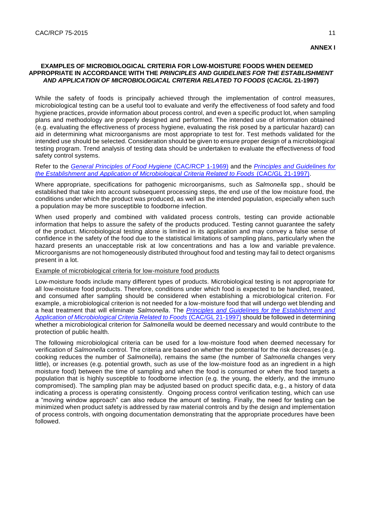# **EXAMPLES OF MICROBIOLOGICAL CRITERIA FOR LOW-MOISTURE FOODS WHEN DEEMED APPROPRIATE IN ACCORDANCE WITH THE** *PRINCIPLES AND GUIDELINES FOR THE ESTABLISHMENT AND APPLICATION OF MICROBIOLOGICAL CRITERIA RELATED TO FOODS* **(CAC/GL 21-1997)**

While the safety of foods is principally achieved through the implementation of control measures, microbiological testing can be a useful tool to evaluate and verify the effectiveness of food safety and food hygiene practices, provide information about process control, and even a specific product lot, when sampling plans and methodology are properly designed and performed. The intended use of information obtained (e.g. evaluating the effectiveness of process hygiene, evaluating the risk posed by a particular hazard) can aid in determining what microorganisms are most appropriate to test for. Test methods validated for the intended use should be selected. Consideration should be given to ensure proper design of a microbiological testing program. Trend analysis of testing data should be undertaken to evaluate the effectiveness of food safety control systems.

## Refer to the *[General Principles of Food Hygiene](http://www.codexalimentarius.org/download/standards/23/CXP_001e.pdf)* (CAC/RCP 1-1969) and the *[Principles and Guidelines for](http://www.codexalimentarius.org/download/standards/394/CXG_021e.pdf)  [the Establishment and Application of Microbiological Criteria Related to Foods](http://www.codexalimentarius.org/download/standards/394/CXG_021e.pdf)* (CAC/GL 21-1997).

Where appropriate, specifications for pathogenic microorganisms, such as *Salmonella* spp., should be established that take into account subsequent processing steps, the end use of the low moisture food, the conditions under which the product was produced, as well as the intended population, especially when such a population may be more susceptible to foodborne infection.

When used properly and combined with validated process controls, testing can provide actionable information that helps to assure the safety of the products produced. Testing cannot guarantee the safety of the product. Microbiological testing alone is limited in its application and may convey a false sense of confidence in the safety of the food due to the statistical limitations of sampling plans, particularly when the hazard presents an unacceptable risk at low concentrations and has a low and variable prevalence. Microorganisms are not homogeneously distributed throughout food and testing may fail to detect organisms present in a lot.

# Example of microbiological criteria for low-moisture food products

Low-moisture foods include many different types of products. Microbiological testing is not appropriate for all low-moisture food products. Therefore, conditions under which food is expected to be handled, treated, and consumed after sampling should be considered when establishing a microbiological criterion. For example, a microbiological criterion is not needed for a low-moisture food that will undergo wet blending and a heat treatment that will eliminate *Salmonella*. The *[Principles and Guidelines for the Establishment and](http://www.codexalimentarius.org/download/standards/394/CXG_021e.pdf)  [Application of Microbiological Criteria Related to Foods](http://www.codexalimentarius.org/download/standards/394/CXG_021e.pdf)* (CAC/GL 21-1997) should be followed in determining whether a microbiological criterion for *Salmonella* would be deemed necessary and would contribute to the protection of public health.

The following microbiological criteria can be used for a low-moisture food when deemed necessary for verification of *Salmonella* control. The criteria are based on whether the potential for the risk decreases (e.g. cooking reduces the number of *Salmonella*), remains the same (the number of *Salmonella* changes very little), or increases (e.g. potential growth, such as use of the low-moisture food as an ingredient in a high moisture food) between the time of sampling and when the food is consumed or when the food targets a population that is highly susceptible to foodborne infection (e.g. the young, the elderly, and the immuno compromised). The sampling plan may be adjusted based on product specific data, e.g., a history of data indicating a process is operating consistently. Ongoing process control verification testing, which can use a "moving window approach" can also reduce the amount of testing. Finally, the need for testing can be minimized when product safety is addressed by raw material controls and by the design and implementation of process controls, with ongoing documentation demonstrating that the appropriate procedures have been followed.

**ANNEX I**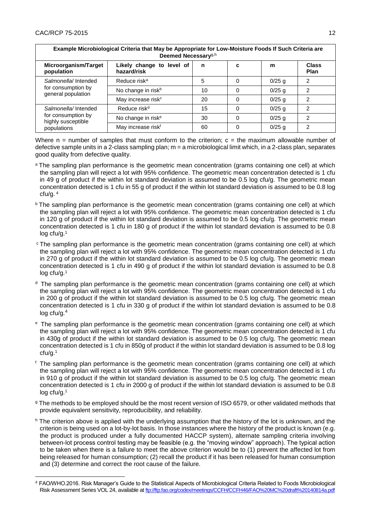1

| Example Microbiological Criteria that May be Appropriate for Low-Moisture Foods If Such Criteria are<br>Deemed Necessary <sup>g,h</sup> |                                          |    |   |          |                             |
|-----------------------------------------------------------------------------------------------------------------------------------------|------------------------------------------|----|---|----------|-----------------------------|
| Microorganism/Target<br>population                                                                                                      | Likely change to level of<br>hazard/risk | n  | c | m        | <b>Class</b><br><b>Plan</b> |
| Salmonella/ Intended<br>for consumption by<br>general population                                                                        | Reduce risk <sup>a</sup>                 | 5  | 0 | $0/25$ g | 2                           |
|                                                                                                                                         | No change in risk <sup>b</sup>           | 10 | 0 | $0/25$ g | 2                           |
|                                                                                                                                         | May increase risk <sup>c</sup>           | 20 | 0 | $0/25$ g | 2                           |
| Salmonella/Intended<br>for consumption by<br>highly susceptible<br>populations                                                          | Reduce risk <sup>d</sup>                 | 15 | 0 | $0/25$ q | 2                           |
|                                                                                                                                         | No change in risk <sup>e</sup>           | 30 | 0 | $0/25$ q | 2                           |
|                                                                                                                                         | May increase risk <sup>f</sup>           | 60 | 0 | $0/25$ g | 2                           |

Where  $n =$  number of samples that must conform to the criterion;  $c =$  the maximum allowable number of defective sample units in a 2-class sampling plan; m = a microbiological limit which, in a 2-class plan, separates good quality from defective quality.

- <sup>a</sup> The sampling plan performance is the geometric mean concentration (grams containing one cell) at which the sampling plan will reject a lot with 95% confidence. The geometric mean concentration detected is 1 cfu in 49 g of product if the within lot standard deviation is assumed to be 0.5 log cfu/g. The geometric mean concentration detected is 1 cfu in 55 g of product if the within lot standard deviation is assumed to be 0.8 log cfu/g. <sup>4</sup>
- <span id="page-11-0"></span>**b** The sampling plan performance is the geometric mean concentration (grams containing one cell) at which the sampling plan will reject a lot with 95% confidence. The geometric mean concentration detected is 1 cfu in 120 g of product if the within lot standard deviation is assumed to be 0.5 log cfu/g. The geometric mean concentration detected is 1 cfu in 180 g of product if the within lot standard deviation is assumed to be 0.8 log cfu/g.<sup>1</sup>
- <sup>c</sup>The sampling plan performance is the geometric mean concentration (grams containing one cell) at which the sampling plan will reject a lot with 95% confidence. The geometric mean concentration detected is 1 cfu in 270 g of product if the within lot standard deviation is assumed to be 0.5 log cfu/g. The geometric mean concentration detected is 1 cfu in 490 g of product if the within lot standard deviation is assumed to be 0.8 log cfu/g.<sup>1</sup>
- <sup>d</sup> The sampling plan performance is the geometric mean concentration (grams containing one cell) at which the sampling plan will reject a lot with 95% confidence. The geometric mean concentration detected is 1 cfu in 200 g of product if the within lot standard deviation is assumed to be 0.5 log cfu/g. The geometric mean concentration detected is 1 cfu in 330 g of product if the within lot standard deviation is assumed to be 0.8  $\log$  cfu/g.<sup>[4](#page-11-0)</sup>
- <sup>e</sup> The sampling plan performance is the geometric mean concentration (grams containing one cell) at which the sampling plan will reject a lot with 95% confidence. The geometric mean concentration detected is 1 cfu in 430g of product if the within lot standard deviation is assumed to be 0.5 log cfu/g. The geometric mean concentration detected is 1 cfu in 850g of product if the within lot standard deviation is assumed to be 0.8 log  $ctu/a.<sup>1</sup>$
- <sup>f</sup> The sampling plan performance is the geometric mean concentration (grams containing one cell) at which the sampling plan will reject a lot with 95% confidence. The geometric mean concentration detected is 1 cfu in 910 g of product if the within lot standard deviation is assumed to be 0.5 log cfu/g. The geometric mean concentration detected is 1 cfu in 2000 g of product if the within lot standard deviation is assumed to be 0.8 log cfu/g.<sup>1</sup>
- <sup>g</sup> The methods to be employed should be the most recent version of ISO 6579, or other validated methods that provide equivalent sensitivity, reproducibility, and reliability.
- h The criterion above is applied with the underlying assumption that the history of the lot is unknown, and the criterion is being used on a lot-by-lot basis. In those instances where the history of the product is known (e.g. the product is produced under a fully documented HACCP system), alternate sampling criteria involving between-lot process control testing may be feasible (e.g. the "moving window" approach). The typical action to be taken when there is a failure to meet the above criterion would be to (1) prevent the affected lot from being released for human consumption; (2) recall the product if it has been released for human consumption and (3) determine and correct the root cause of the failure.

<sup>4</sup> FAO/WHO.2016. Risk Manager's Guide to the Statistical Aspects of Microbiological Criteria Related to Foods Microbiological Risk Assessment Series VOL 24, available at [ftp://ftp.fao.org/codex/meetings/CCFH/CCFH46/FAO%20MC%20draft%20140814a.pdf](ftp://ftp.fao.org/codex/meetings/CCFH/CCFH46/FAO MC draft 140814a.pdf)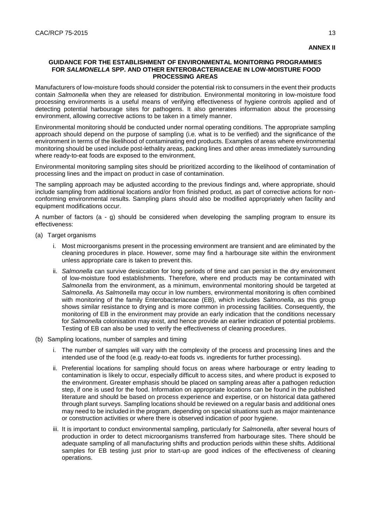### **ANNEX II**

## **GUIDANCE FOR THE ESTABLISHMENT OF ENVIRONMENTAL MONITORING PROGRAMMES FOR** *SALMONELLA* **SPP. AND OTHER ENTEROBACTERIACEAE IN LOW-MOISTURE FOOD PROCESSING AREAS**

Manufacturers of low-moisture foods should consider the potential risk to consumers in the event their products contain *Salmonella* when they are released for distribution. Environmental monitoring in low-moisture food processing environments is a useful means of verifying effectiveness of hygiene controls applied and of detecting potential harbourage sites for pathogens. It also generates information about the processing environment, allowing corrective actions to be taken in a timely manner.

Environmental monitoring should be conducted under normal operating conditions. The appropriate sampling approach should depend on the purpose of sampling (i.e. what is to be verified) and the significance of the environment in terms of the likelihood of contaminating end products. Examples of areas where environmental monitoring should be used include post-lethality areas, packing lines and other areas immediately surrounding where ready-to-eat foods are exposed to the environment.

Environmental monitoring sampling sites should be prioritized according to the likelihood of contamination of processing lines and the impact on product in case of contamination.

The sampling approach may be adjusted according to the previous findings and, where appropriate, should include sampling from additional locations and/or from finished product, as part of corrective actions for nonconforming environmental results. Sampling plans should also be modified appropriately when facility and equipment modifications occur.

A number of factors (a - g) should be considered when developing the sampling program to ensure its effectiveness:

- (a) Target organisms
	- i. Most microorganisms present in the processing environment are transient and are eliminated by the cleaning procedures in place. However, some may find a harbourage site within the environment unless appropriate care is taken to prevent this.
	- ii. *Salmonella* can survive desiccation for long periods of time and can persist in the dry environment of low-moisture food establishments. Therefore, where end products may be contaminated with *Salmonella* from the environment, as a minimum, environmental monitoring should be targeted at *Salmonella*. As *Salmonella* may occur in low numbers, environmental monitoring is often combined with monitoring of the family Enterobacteriaceae (EB), which includes *Salmonella*, as this group shows similar resistance to drying and is more common in processing facilities. Consequently, the monitoring of EB in the environment may provide an early indication that the conditions necessary for *Salmonella* colonisation may exist, and hence provide an earlier indication of potential problems. Testing of EB can also be used to verify the effectiveness of cleaning procedures.
- (b) Sampling locations, number of samples and timing
	- i. The number of samples will vary with the complexity of the process and processing lines and the intended use of the food (e.g. ready-to-eat foods vs. ingredients for further processing).
	- ii. Preferential locations for sampling should focus on areas where harbourage or entry leading to contamination is likely to occur, especially difficult to access sites, and where product is exposed to the environment. Greater emphasis should be placed on sampling areas after a pathogen reduction step, if one is used for the food. Information on appropriate locations can be found in the published literature and should be based on process experience and expertise, or on historical data gathered through plant surveys. Sampling locations should be reviewed on a regular basis and additional ones may need to be included in the program, depending on special situations such as major maintenance or construction activities or where there is observed indication of poor hygiene.
	- iii. It is important to conduct environmental sampling, particularly for *Salmonella*, after several hours of production in order to detect microorganisms transferred from harbourage sites. There should be adequate sampling of all manufacturing shifts and production periods within these shifts. Additional samples for EB testing just prior to start-up are good indices of the effectiveness of cleaning operations.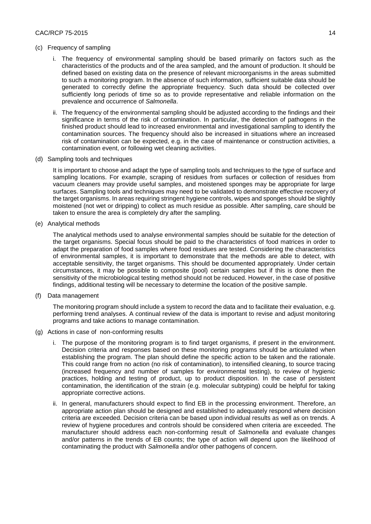### (c) Frequency of sampling

- i. The frequency of environmental sampling should be based primarily on factors such as the characteristics of the products and of the area sampled, and the amount of production. It should be defined based on existing data on the presence of relevant microorganisms in the areas submitted to such a monitoring program. In the absence of such information, sufficient suitable data should be generated to correctly define the appropriate frequency. Such data should be collected over sufficiently long periods of time so as to provide representative and reliable information on the prevalence and occurrence of *Salmonella*.
- ii. The frequency of the environmental sampling should be adjusted according to the findings and their significance in terms of the risk of contamination. In particular, the detection of pathogens in the finished product should lead to increased environmental and investigational sampling to identify the contamination sources. The frequency should also be increased in situations where an increased risk of contamination can be expected, e.g. in the case of maintenance or construction activities, a contamination event, or following wet cleaning activities.
- (d) Sampling tools and techniques

It is important to choose and adapt the type of sampling tools and techniques to the type of surface and sampling locations. For example, scraping of residues from surfaces or collection of residues from vacuum cleaners may provide useful samples, and moistened sponges may be appropriate for large surfaces. Sampling tools and techniques may need to be validated to demonstrate effective recovery of the target organisms. In areas requiring stringent hygiene controls, wipes and sponges should be slightly moistened (not wet or dripping) to collect as much residue as possible. After sampling, care should be taken to ensure the area is completely dry after the sampling.

(e) Analytical methods

The analytical methods used to analyse environmental samples should be suitable for the detection of the target organisms. Special focus should be paid to the characteristics of food matrices in order to adapt the preparation of food samples where food residues are tested. Considering the characteristics of environmental samples, it is important to demonstrate that the methods are able to detect, with acceptable sensitivity, the target organisms. This should be documented appropriately. Under certain circumstances, it may be possible to composite (pool) certain samples but if this is done then the sensitivity of the microbiological testing method should not be reduced. However, in the case of positive findings, additional testing will be necessary to determine the location of the positive sample.

(f) Data management

The monitoring program should include a system to record the data and to facilitate their evaluation, e.g. performing trend analyses. A continual review of the data is important to revise and adjust monitoring programs and take actions to manage contamination.

- (g) Actions in case of non-conforming results
	- i. The purpose of the monitoring program is to find target organisms, if present in the environment. Decision criteria and responses based on these monitoring programs should be articulated when establishing the program. The plan should define the specific action to be taken and the rationale. This could range from no action (no risk of contamination), to intensified cleaning, to source tracing (increased frequency and number of samples for environmental testing), to review of hygienic practices, holding and testing of product, up to product disposition. In the case of persistent contamination, the identification of the strain (e.g. molecular subtyping) could be helpful for taking appropriate corrective actions.
	- ii. In general, manufacturers should expect to find EB in the processing environment. Therefore, an appropriate action plan should be designed and established to adequately respond where decision criteria are exceeded. Decision criteria can be based upon individual results as well as on trends. A review of hygiene procedures and controls should be considered when criteria are exceeded. The manufacturer should address each non-conforming result of *Salmonella* and evaluate changes and/or patterns in the trends of EB counts; the type of action will depend upon the likelihood of contaminating the product with *Salmonella* and/or other pathogens of concern.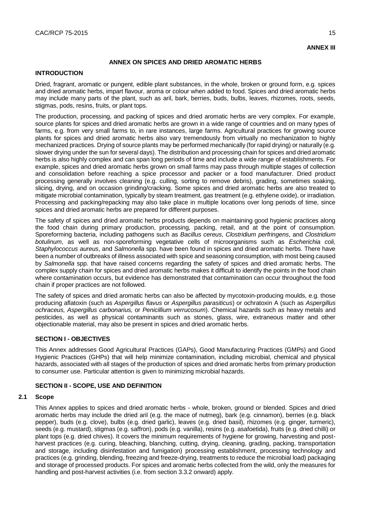# **ANNEX ON SPICES AND DRIED AROMATIC HERBS**

## **INTRODUCTION**

Dried, fragrant, aromatic or pungent, edible plant substances, in the whole, broken or ground form, e.g. spices and dried aromatic herbs, impart flavour, aroma or colour when added to food. Spices and dried aromatic herbs may include many parts of the plant, such as aril, bark, berries, buds, bulbs, leaves, rhizomes, roots, seeds, stigmas, pods, resins, fruits, or plant tops.

The production, processing, and packing of spices and dried aromatic herbs are very complex. For example, source plants for spices and dried aromatic herbs are grown in a wide range of countries and on many types of farms, e.g. from very small farms to, in rare instances, large farms. Agricultural practices for growing source plants for spices and dried aromatic herbs also vary tremendously from virtually no mechanization to highly mechanized practices. Drying of source plants may be performed mechanically (for rapid drying) or naturally (e.g. slower drying under the sun for several days). The distribution and processing chain for spices and dried aromatic herbs is also highly complex and can span long periods of time and include a wide range of establishments. For example, spices and dried aromatic herbs grown on small farms may pass through multiple stages of collection and consolidation before reaching a spice processor and packer or a food manufacturer. Dried product processing generally involves cleaning (e.g. culling, sorting to remove debris), grading, sometimes soaking, slicing, drying, and on occasion grinding/cracking. Some spices and dried aromatic herbs are also treated to mitigate microbial contamination, typically by steam treatment, gas treatment (e.g. ethylene oxide), or irradiation. Processing and packing/repacking may also take place in multiple locations over long periods of time, since spices and dried aromatic herbs are prepared for different purposes.

The safety of spices and dried aromatic herbs products depends on maintaining good hygienic practices along the food chain during primary production, processing, packing, retail, and at the point of consumption. Sporeforming bacteria, including pathogens such as *Bacillus cereus*, *Clostridium perfringens*, and *Clostridium botulinum*, as well as non-sporeforming vegetative cells of microorganisms such as *Escherichia coli, Staphylococcus aureus*, and *Salmonella* spp. have been found in spices and dried aromatic herbs. There have been a number of outbreaks of illness associated with spice and seasoning consumption, with most being caused by *Salmonella* spp. that have raised concerns regarding the safety of spices and dried aromatic herbs. The complex supply chain for spices and dried aromatic herbs makes it difficult to identify the points in the food chain where contamination occurs, but evidence has demonstrated that contamination can occur throughout the food chain if proper practices are not followed.

The safety of spices and dried aromatic herbs can also be affected by mycotoxin-producing moulds, e.g. those producing aflatoxin (such as *Aspergillus flavus* or *Aspergillus parasiticus*) or ochratoxin A (such as *Aspergillus ochraceus, Aspergillus carbonarius,* or *Penicillium verrucosum*). Chemical hazards such as heavy metals and pesticides, as well as physical contaminants such as stones, glass, wire, extraneous matter and other objectionable material, may also be present in spices and dried aromatic herbs.

## **SECTION I - OBJECTIVES**

This Annex addresses Good Agricultural Practices (GAPs), Good Manufacturing Practices (GMPs) and Good Hygienic Practices (GHPs) that will help minimize contamination, including microbial, chemical and physical hazards, associated with all stages of the production of spices and dried aromatic herbs from primary production to consumer use. Particular attention is given to minimizing microbial hazards.

## **SECTION II - SCOPE, USE AND DEFINITION**

## **2.1 Scope**

This Annex applies to spices and dried aromatic herbs - whole, broken, ground or blended. Spices and dried aromatic herbs may include the dried aril (e.g. the mace of nutmeg), bark (e.g. cinnamon), berries (e.g. black pepper), buds (e.g. clove), bulbs (e.g. dried garlic), leaves (e.g. dried basil), rhizomes (e.g. ginger, turmeric), seeds (e.g. mustard), stigmas (e.g. saffron), pods (e.g. vanilla), resins (e.g. asafoetida), fruits (e.g. dried chilli) or plant tops (e.g. dried chives). It covers the minimum requirements of hygiene for growing, harvesting and postharvest practices (e.g. curing, bleaching, blanching, cutting, drying, cleaning, grading, packing, transportation and storage, including disinfestation and fumigation) processing establishment, processing technology and practices (e.g. grinding, blending, freezing and freeze-drying, treatments to reduce the microbial load) packaging and storage of processed products. For spices and aromatic herbs collected from the wild, only the measures for handling and post-harvest activities (i.e. from section 3.3.2 onward) apply.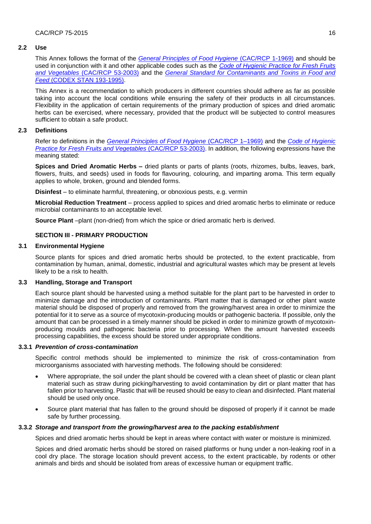## **2.2 Use**

This Annex follows the format of the *[General Principles of Food Hygiene](http://www.codexalimentarius.org/download/standards/23/CXP_001e.pdf)* (CAC/RCP 1-1969) and should be used in conjunction with it and other applicable codes such as the *[Code of Hygienic Practice for Fresh Fruits](http://www.codexalimentarius.org/download/standards/10200/CXP_053e_2013.pdf)  and Vegetables* [\(CAC/RCP 53-2003\)](http://www.codexalimentarius.org/download/standards/10200/CXP_053e_2013.pdf) and the *[General Standard for Contaminants and Toxins in Food and](http://www.codexalimentarius.org/download/standards/17/CXS_193e_2015.pdf)  Feed* [\(CODEX STAN 193-1995\).](http://www.codexalimentarius.org/download/standards/17/CXS_193e_2015.pdf)

This Annex is a recommendation to which producers in different countries should adhere as far as possible taking into account the local conditions while ensuring the safety of their products in all circumstances. Flexibility in the application of certain requirements of the primary production of spices and dried aromatic herbs can be exercised, where necessary, provided that the product will be subjected to control measures sufficient to obtain a safe product.

# **2.3 Definitions**

Refer to definitions in the *[General Principles of Food Hygiene](http://www.codexalimentarius.org/download/standards/23/CXP_001e.pdf)* (CAC/RCP 1–1969) and the *[Code of Hygienic](http://www.codexalimentarius.org/download/standards/10200/CXP_053e_2013.pdf)  [Practice for Fresh Fruits and Vegetables](http://www.codexalimentarius.org/download/standards/10200/CXP_053e_2013.pdf)* (CAC/RCP 53-2003). In addition, the following expressions have the meaning stated:

**Spices and Dried Aromatic Herbs –** dried plants or parts of plants (roots, rhizomes, bulbs, leaves, bark, flowers, fruits, and seeds) used in foods for flavouring, colouring, and imparting aroma. This term equally applies to whole, broken, ground and blended forms.

**Disinfest** – to eliminate harmful, threatening, or obnoxious pests, e.g. vermin

**Microbial Reduction Treatment** – process applied to spices and dried aromatic herbs to eliminate or reduce microbial contaminants to an acceptable level.

**Source Plant** –plant (non-dried) from which the spice or dried aromatic herb is derived.

# **SECTION III - PRIMARY PRODUCTION**

## **3.1 Environmental Hygiene**

Source plants for spices and dried aromatic herbs should be protected, to the extent practicable, from contamination by human, animal, domestic, industrial and agricultural wastes which may be present at levels likely to be a risk to health.

## **3.3 Handling, Storage and Transport**

Each source plant should be harvested using a method suitable for the plant part to be harvested in order to minimize damage and the introduction of contaminants. Plant matter that is damaged or other plant waste material should be disposed of properly and removed from the growing/harvest area in order to minimize the potential for it to serve as a source of mycotoxin-producing moulds or pathogenic bacteria. If possible, only the amount that can be processed in a timely manner should be picked in order to minimize growth of mycotoxinproducing moulds and pathogenic bacteria prior to processing. When the amount harvested exceeds processing capabilities, the excess should be stored under appropriate conditions.

## **3.3.1** *Prevention of cross-contamination*

Specific control methods should be implemented to minimize the risk of cross-contamination from microorganisms associated with harvesting methods. The following should be considered:

- Where appropriate, the soil under the plant should be covered with a clean sheet of plastic or clean plant material such as straw during picking/harvesting to avoid contamination by dirt or plant matter that has fallen prior to harvesting. Plastic that will be reused should be easy to clean and disinfected. Plant material should be used only once.
- Source plant material that has fallen to the ground should be disposed of properly if it cannot be made safe by further processing.

### **3.3.2** *Storage and transport from the growing/harvest area to the packing establishment*

Spices and dried aromatic herbs should be kept in areas where contact with water or moisture is minimized.

Spices and dried aromatic herbs should be stored on raised platforms or hung under a non-leaking roof in a cool dry place. The storage location should prevent access, to the extent practicable, by rodents or other animals and birds and should be isolated from areas of excessive human or equipment traffic.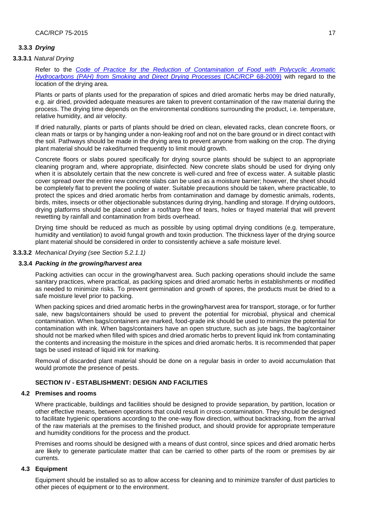## **3.3.3** *Drying*

# **3.3.3.1** *Natural Drying*

Refer to the *[Code of Practice for the Reduction of Contamination of Food with Polycyclic Aromatic](http://www.codexalimentarius.org/download/standards/11257/CXP_068e.pdf)  [Hydrocarbons \(PAH\) from Smoking and Direct Drying Processes](http://www.codexalimentarius.org/download/standards/11257/CXP_068e.pdf)* (CAC/RCP 68-2009) with regard to the location of the drying area.

Plants or parts of plants used for the preparation of spices and dried aromatic herbs may be dried naturally, e.g. air dried, provided adequate measures are taken to prevent contamination of the raw material during the process. The drying time depends on the environmental conditions surrounding the product, i.e. temperature, relative humidity, and air velocity.

If dried naturally, plants or parts of plants should be dried on clean, elevated racks, clean concrete floors, or clean mats or tarps or by hanging under a non-leaking roof and not on the bare ground or in direct contact with the soil. Pathways should be made in the drying area to prevent anyone from walking on the crop. The drying plant material should be raked/turned frequently to limit mould growth.

Concrete floors or slabs poured specifically for drying source plants should be subject to an appropriate cleaning program and, where appropriate, disinfected. New concrete slabs should be used for drying only when it is absolutely certain that the new concrete is well-cured and free of excess water. A suitable plastic cover spread over the entire new concrete slabs can be used as a moisture barrier; however, the sheet should be completely flat to prevent the pooling of water. Suitable precautions should be taken, where practicable, to protect the spices and dried aromatic herbs from contamination and damage by domestic animals, rodents, birds, mites, insects or other objectionable substances during drying, handling and storage. If drying outdoors, drying platforms should be placed under a roof/tarp free of tears, holes or frayed material that will prevent rewetting by rainfall and contamination from birds overhead.

Drying time should be reduced as much as possible by using optimal drying conditions (e.g. temperature, humidity and ventilation) to avoid fungal growth and toxin production. The thickness layer of the drying source plant material should be considered in order to consistently achieve a safe moisture level.

### **3.3.3.2** *Mechanical Drying (see Section 5.2.1.1)*

### **3.3.4** *Packing in the growing/harvest area*

Packing activities can occur in the growing/harvest area. Such packing operations should include the same sanitary practices, where practical, as packing spices and dried aromatic herbs in establishments or modified as needed to minimize risks. To prevent germination and growth of spores, the products must be dried to a safe moisture level prior to packing.

When packing spices and dried aromatic herbs in the growing/harvest area for transport, storage, or for further sale, new bags/containers should be used to prevent the potential for microbial, physical and chemical contamination. When bags/containers are marked, food-grade ink should be used to minimize the potential for contamination with ink. When bags/containers have an open structure, such as jute bags, the bag/container should not be marked when filled with spices and dried aromatic herbs to prevent liquid ink from contaminating the contents and increasing the moisture in the spices and dried aromatic herbs. It is recommended that paper tags be used instead of liquid ink for marking.

Removal of discarded plant material should be done on a regular basis in order to avoid accumulation that would promote the presence of pests.

## **SECTION IV - ESTABLISHMENT: DESIGN AND FACILITIES**

### **4.2 Premises and rooms**

Where practicable, buildings and facilities should be designed to provide separation, by partition, location or other effective means, between operations that could result in cross-contamination. They should be designed to facilitate hygienic operations according to the one-way flow direction, without backtracking, from the arrival of the raw materials at the premises to the finished product, and should provide for appropriate temperature and humidity conditions for the process and the product.

Premises and rooms should be designed with a means of dust control, since spices and dried aromatic herbs are likely to generate particulate matter that can be carried to other parts of the room or premises by air currents.

# **4.3 Equipment**

Equipment should be installed so as to allow access for cleaning and to minimize transfer of dust particles to other pieces of equipment or to the environment.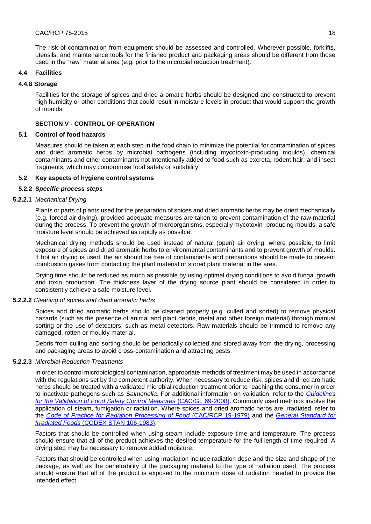The risk of contamination from equipment should be assessed and controlled. Wherever possible, forklifts, utensils, and maintenance tools for the finished product and packaging areas should be different from those used in the "raw" material area (e.g. prior to the microbial reduction treatment).

# **4.4 Facilities**

### **4.4.8 Storage**

Facilities for the storage of spices and dried aromatic herbs should be designed and constructed to prevent high humidity or other conditions that could result in moisture levels in product that would support the growth of moulds.

# **SECTION V - CONTROL OF OPERATION**

### **5.1 Control of food hazards**

Measures should be taken at each step in the food chain to minimize the potential for contamination of spices and dried aromatic herbs by microbial pathogens (including mycotoxin-producing moulds), chemical contaminants and other contaminants not intentionally added to food such as excreta, rodent hair, and insect fragments, which may compromise food safety or suitability.

### **5.2 Key aspects of hygiene control systems**

### **5.2.2** *Specific process steps*

### **5.2.2.1** *Mechanical Drying*

Plants or parts of plants used for the preparation of spices and dried aromatic herbs may be dried mechanically (e.g. forced air drying), provided adequate measures are taken to prevent contamination of the raw material during the process. To prevent the growth of microorganisms, especially mycotoxin- producing moulds, a safe moisture level should be achieved as rapidly as possible.

Mechanical drying methods should be used instead of natural (open) air drying, where possible, to limit exposure of spices and dried aromatic herbs to environmental contaminants and to prevent growth of moulds. If hot air drying is used, the air should be free of contaminants and precautions should be made to prevent combustion gases from contacting the plant material or stored plant material in the area.

Drying time should be reduced as much as possible by using optimal drying conditions to avoid fungal growth and toxin production. The thickness layer of the drying source plant should be considered in order to consistently achieve a safe moisture level.

## **5.2.2.2** *Cleaning of spices and dried aromatic herbs*

Spices and dried aromatic herbs should be cleaned properly (e.g. culled and sorted) to remove physical hazards (such as the presence of animal and plant debris, metal and other foreign material) through manual sorting or the use of detectors, such as metal detectors. Raw materials should be trimmed to remove any damaged, rotten or mouldy material.

Debris from culling and sorting should be periodically collected and stored away from the drying, processing and packaging areas to avoid cross-contamination and attracting pests.

## **5.2.2.3** *Microbial Reduction Treatments*

In order to control microbiological contamination, appropriate methods of treatment may be used in accordance with the regulations set by the competent authority. When necessary to reduce risk, spices and dried aromatic herbs should be treated with a validated microbial reduction treatment prior to reaching the consumer in order to inactivate pathogens such as *Salmonella*. For additional information on validation, refer to the *[Guidelines](http://www.codexalimentarius.org/download/standards/11022/CXG_069e.pdf)  [for the Validation of Food Safety Control Measures](http://www.codexalimentarius.org/download/standards/11022/CXG_069e.pdf)* (CAC/GL 69-2008). Commonly used methods involve the application of steam, fumigation or radiation. Where spices and dried aromatic herbs are irradiated, refer to the *[Code of Practice for Radiation Processing of Food](http://www.codexalimentarius.org/download/standards/18/CXP_019e.pdf)* (CAC/RCP 19-1979) and the *[General Standard for](http://www.codexalimentarius.org/download/standards/16/CXS_106e.pdf)  Irradiated Foods* [\(CODEX STAN 106-1983\).](http://www.codexalimentarius.org/download/standards/16/CXS_106e.pdf)

Factors that should be controlled when using steam include exposure time and temperature. The process should ensure that all of the product achieves the desired temperature for the full length of time required. A drying step may be necessary to remove added moisture.

Factors that should be controlled when using irradiation include radiation dose and the size and shape of the package, as well as the penetrability of the packaging material to the type of radiation used. The process should ensure that all of the product is exposed to the minimum dose of radiation needed to provide the intended effect.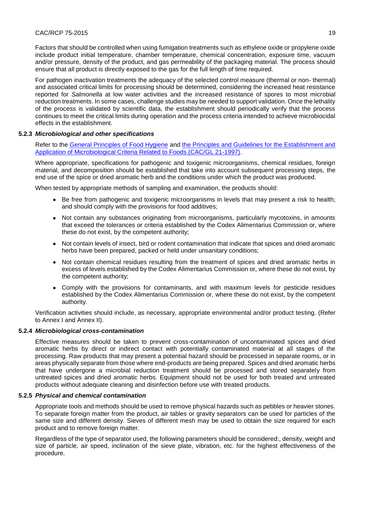Factors that should be controlled when using fumigation treatments such as ethylene oxide or propylene oxide include product initial temperature, chamber temperature, chemical concentration, exposure time, vacuum and/or pressure, density of the product, and gas permeability of the packaging material. The process should ensure that all product is directly exposed to the gas for the full length of time required.

For pathogen inactivation treatments the adequacy of the selected control measure (thermal or non- thermal) and associated critical limits for processing should be determined, considering the increased heat resistance reported for *Salmonella* at low water activities and the increased resistance of spores to most microbial reduction treatments. In some cases, challenge studies may be needed to support validation. Once the lethality of the process is validated by scientific data, the establishment should periodically verify that the process continues to meet the critical limits during operation and the process criteria intended to achieve microbiocidal effects in the establishment.

## **5.2.3** *Microbiological and other specifications*

Refer to the [General Principles of Food Hygiene](http://www.fao.org/fao-who-codexalimentarius/sh-proxy/en/?lnk=1&url=https%253A%252F%252Fworkspace.fao.org%252Fsites%252Fcodex%252FStandards%252FCAC%2BRCP%2B1-1969%252FCXP_001e.pdf) and [the Principles and Guidelines for the Establishment and](http://www.fao.org/fao-who-codexalimentarius/sh-proxy/en/?lnk=1&url=https%253A%252F%252Fworkspace.fao.org%252Fsites%252Fcodex%252FStandards%252FCAC%2BGL%2B21-1997%252FCXG_021e.pdf)  [Application of Microbiological Criteria Related to Foods \(CAC/GL 21-1997\).](http://www.fao.org/fao-who-codexalimentarius/sh-proxy/en/?lnk=1&url=https%253A%252F%252Fworkspace.fao.org%252Fsites%252Fcodex%252FStandards%252FCAC%2BGL%2B21-1997%252FCXG_021e.pdf)

Where appropriate, specifications for pathogenic and toxigenic microorganisms, chemical residues, foreign material, and decomposition should be established that take into account subsequent processing steps, the end use of the spice or dried aromatic herb and the conditions under which the product was produced.

When tested by appropriate methods of sampling and examination, the products should:

- Be free from pathogenic and toxigenic microorganisms in levels that may present a risk to health; and should comply with the provisions for food additives;
- Not contain any substances originating from microorganisms, particularly mycotoxins, in amounts that exceed the tolerances or criteria established by the Codex Alimentarius Commission or, where these do not exist, by the competent authority;
- Not contain levels of insect, bird or rodent contamination that indicate that spices and dried aromatic herbs have been prepared, packed or held under unsanitary conditions;
- Not contain chemical residues resulting from the treatment of spices and dried aromatic herbs in excess of levels established by the Codex Alimentarius Commission or, where these do not exist, by the competent authority;
- Comply with the provisions for contaminants, and with maximum levels for pesticide residues established by the Codex Alimentarius Commission or, where these do not exist, by the competent authority.

Verification activities should include, as necessary, appropriate environmental and/or product testing. (Refer to Annex I and Annex II).

# **5.2.4** *Microbiological cross-contamination*

Effective measures should be taken to prevent cross-contamination of uncontaminated spices and dried aromatic herbs by direct or indirect contact with potentially contaminated material at all stages of the processing. Raw products that may present a potential hazard should be processed in separate rooms, or in areas physically separate from those where end-products are being prepared. Spices and dried aromatic herbs that have undergone a microbial reduction treatment should be processed and stored separately from untreated spices and dried aromatic herbs. Equipment should not be used for both treated and untreated products without adequate cleaning and disinfection before use with treated products.

## **5.2.5** *Physical and chemical contamination*

Appropriate tools and methods should be used to remove physical hazards such as pebbles or heavier stones. To separate foreign matter from the product, air tables or gravity separators can be used for particles of the same size and different density. Sieves of different mesh may be used to obtain the size required for each product and to remove foreign matter.

Regardless of the type of separator used, the following parameters should be considered:, density, weight and size of particle, air speed, inclination of the sieve plate, vibration, etc. for the highest effectiveness of the procedure.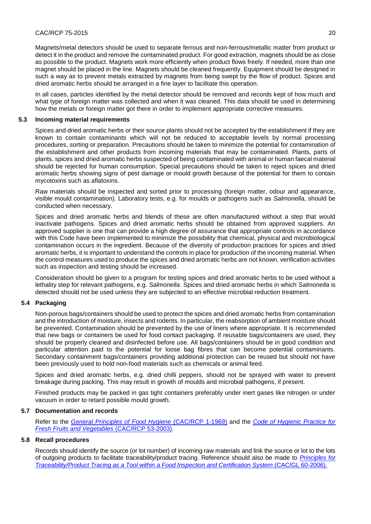Magnets/metal detectors should be used to separate ferrous and non-ferrous/metallic matter from product or detect it in the product and remove the contaminated product. For good extraction, magnets should be as close as possible to the product. Magnets work more efficiently when product flows freely. If needed, more than one magnet should be placed in the line. Magnets should be cleaned frequently. Equipment should be designed in such a way as to prevent metals extracted by magnets from being swept by the flow of product. Spices and dried aromatic herbs should be arranged in a fine layer to facilitate this operation.

In all cases, particles identified by the metal detector should be removed and records kept of how much and what type of foreign matter was collected and when it was cleaned. This data should be used in determining how the metals or foreign matter got there in order to implement appropriate corrective measures.

### **5.3 Incoming material requirements**

Spices and dried aromatic herbs or their source plants should not be accepted by the establishment if they are known to contain contaminants which will not be reduced to acceptable levels by normal processing procedures, sorting or preparation. Precautions should be taken to minimize the potential for contamination of the establishment and other products from incoming materials that may be contaminated. Plants, parts of plants, spices and dried aromatic herbs suspected of being contaminated with animal or human faecal material should be rejected for human consumption. Special precautions should be taken to reject spices and dried aromatic herbs showing signs of pest damage or mould growth because of the potential for them to contain mycotoxins such as aflatoxins.

Raw materials should be inspected and sorted prior to processing (foreign matter, odour and appearance, visible mould contamination). Laboratory tests, e.g. for moulds or pathogens such as *Salmonella*, should be conducted when necessary.

Spices and dried aromatic herbs and blends of these are often manufactured without a step that would inactivate pathogens. Spices and dried aromatic herbs should be obtained from approved suppliers. An approved supplier is one that can provide a high degree of assurance that appropriate controls in accordance with this Code have been implemented to minimize the possibility that chemical, physical and microbiological contamination occurs in the ingredient. Because of the diversity of production practices for spices and dried aromatic herbs, it is important to understand the controls in place for production of the incoming material. When the control measures used to produce the spices and dried aromatic herbs are not known, verification activities such as inspection and testing should be increased.

Consideration should be given to a program for testing spices and dried aromatic herbs to be used without a lethality step for relevant pathogens, e.g. *Salmonella*. Spices and dried aromatic herbs in which *Salmonella* is detected should not be used unless they are subjected to an effective microbial reduction treatment.

## **5.4 Packaging**

Non-porous bags/containers should be used to protect the spices and dried aromatic herbs from contamination and the introduction of moisture, insects and rodents. In particular, the reabsorption of ambient moisture should be prevented. Contamination should be prevented by the use of liners where appropriate. It is recommended that new bags or containers be used for food contact packaging. If reusable bags/containers are used, they should be properly cleaned and disinfected before use. All bags/containers should be in good condition and particular attention paid to the potential for loose bag fibres that can become potential contaminants. Secondary containment bags/containers providing additional protection can be reused but should not have been previously used to hold non-food materials such as chemicals or animal feed.

Spices and dried aromatic herbs, e.g. dried chilli peppers, should not be sprayed with water to prevent breakage during packing. This may result in growth of moulds and microbial pathogens, if present.

Finished products may be packed in gas tight containers preferably under inert gases like nitrogen or under vacuum in order to retard possible mould growth.

## **5.7 Documentation and records**

Refer to the *[General Principles of Food Hygiene](http://www.codexalimentarius.org/download/standards/23/CXP_001e.pdf)* (CAC/RCP 1-1969) and the *[Code of Hygienic Practice for](http://www.codexalimentarius.org/download/standards/10200/CXP_053e_2013.pdf)  [Fresh Fruits and Vegetables](http://www.codexalimentarius.org/download/standards/10200/CXP_053e_2013.pdf)* (CAC/RCP 53-2003).

## **5.8 Recall procedures**

Records should identify the source (or lot number) of incoming raw materials and link the source or lot to the lots of outgoing products to facilitate traceability/product tracing. Reference should also be made to *[Principles for](http://www.codexalimentarius.org/download/standards/10603/CXG_060e.pdf)  [Traceability/Product Tracing as a Tool within a Food Inspection and Certification System](http://www.codexalimentarius.org/download/standards/10603/CXG_060e.pdf)* (CAC/GL 60-2006).